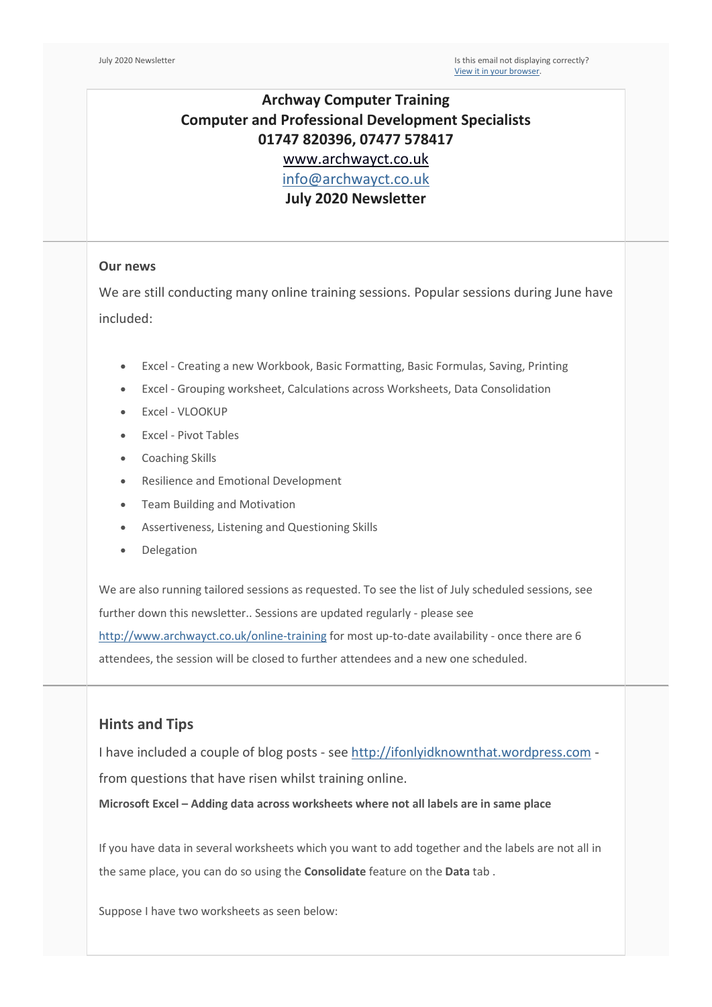## **Archway Computer Training Computer and Professional Development Specialists 01747 820396, 07477 578417** [www.archwayct.co.uk](http://www.archwayct.co.uk/) [info@archwayct.co.uk](mailto:%20info@archwayct.co.uk)

**July 2020 Newsletter**

#### **Our news**

We are still conducting many online training sessions. Popular sessions during June have included:

- Excel Creating a new Workbook, Basic Formatting, Basic Formulas, Saving, Printing
- Excel Grouping worksheet, Calculations across Worksheets, Data Consolidation
- Excel VLOOKUP
- Excel Pivot Tables
- Coaching Skills
- Resilience and Emotional Development
- Team Building and Motivation
- Assertiveness, Listening and Questioning Skills
- Delegation

We are also running tailored sessions as requested. To see the list of July scheduled sessions, see further down this newsletter.. Sessions are updated regularly - please see <http://www.archwayct.co.uk/online-training> for most up-to-date availability - once there are 6 attendees, the session will be closed to further attendees and a new one scheduled.

### **Hints and Tips**

I have included a couple of blog posts - see [http://ifonlyidknownthat.wordpress.com](http://ifonlyidknownthat.wordpress.com/) from questions that have risen whilst training online.

**Microsoft Excel – Adding data across worksheets where not all labels are in same place**

If you have data in several worksheets which you want to add together and the labels are not all in the same place, you can do so using the **Consolidate** feature on the **Data** tab .

Suppose I have two worksheets as seen below: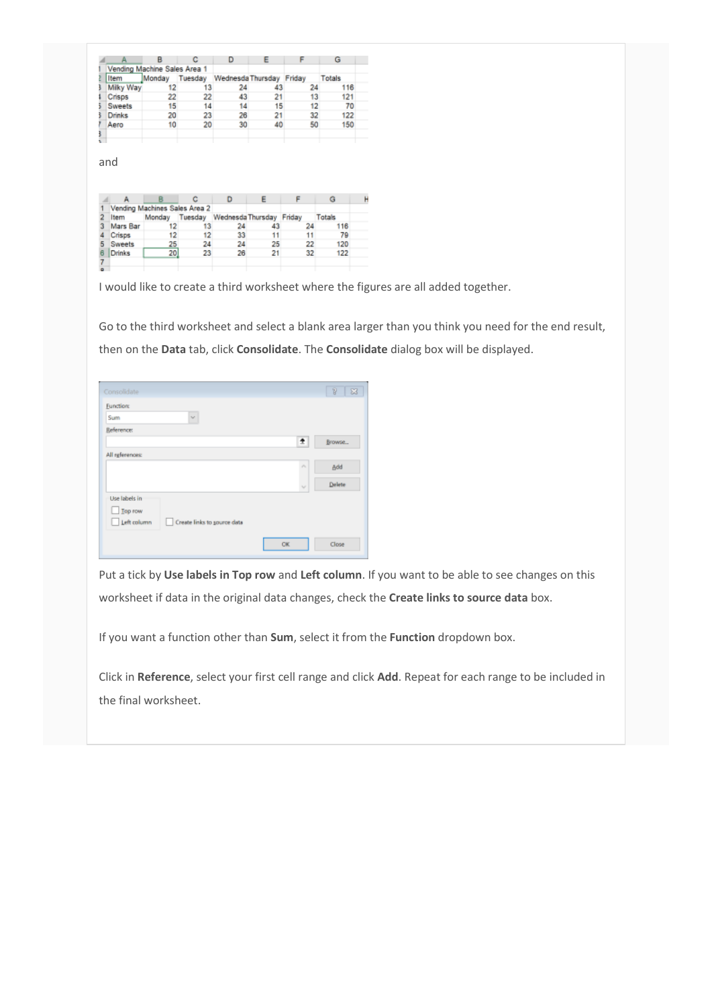|               |                              |         |                   |    |        | G             |
|---------------|------------------------------|---------|-------------------|----|--------|---------------|
|               | Vending Machine Sales Area 1 |         |                   |    |        |               |
| Item          | Monday                       | Tuesday | Wednesda Thursday |    | Friday | <b>Totals</b> |
| Milky Way     | 12                           | 13      | 24                | 43 | 24     | 116           |
| Crisos        | 22                           | 22      | 43                | 21 | 13     | 121           |
| Sweets        | 15                           | 14      | 14                | 15 | 12     | 70            |
| <b>Drinks</b> | 20                           | 23      | 26                | 21 | 32     | 122           |
| Aero          | 10                           | 20      | 30                | 40 | 50     | 150           |
|               |                              |         |                   |    |        |               |
|               |                              |         |                   |    |        |               |

and

|               | Vending Machines Sales Area 2 |         |                          |    |    |        |  |
|---------------|-------------------------------|---------|--------------------------|----|----|--------|--|
| ltem          | Monday                        | Tuesday | Wednesda Thursday Friday |    |    | Totals |  |
| Mars Bar      |                               |         | 24                       |    | 24 | 116    |  |
| Crisps        | 12                            | 12      | 33                       |    |    | 79     |  |
| <b>Sweets</b> | 25                            | 24      | 24                       | 25 | 22 | 120    |  |
| Drinks        | 20                            | 23      | 26                       | 21 | 32 | 122    |  |
|               |                               |         |                          |    |    |        |  |
|               |                               |         |                          |    |    |        |  |

I would like to create a third worksheet where the figures are all added together.

Go to the third worksheet and select a blank area larger than you think you need for the end result, then on the **Data** tab, click **Consolidate**. The **Consolidate** dialog box will be displayed.

| Consolidate                                |                             | $\overline{\mathbb{R}}$<br>$\boxtimes$ |
|--------------------------------------------|-----------------------------|----------------------------------------|
| <b>Function:</b>                           |                             |                                        |
| $\sim$<br>Sum                              |                             |                                        |
| <b>Reference:</b>                          |                             |                                        |
|                                            | ÷                           | Browse                                 |
| All references:                            |                             |                                        |
|                                            | $\mu_{\rm L}$               | Add                                    |
|                                            | $\mathcal{L}_{\mathcal{F}}$ | Delete                                 |
| Use labels in                              |                             |                                        |
| $\Box$ Top row                             |                             |                                        |
| Left column<br>Create links to source data |                             |                                        |
|                                            |                             |                                        |
|                                            | OK                          | Close                                  |

Put a tick by **Use labels in Top row** and **Left column**. If you want to be able to see changes on this worksheet if data in the original data changes, check the **Create links to source data** box.

If you want a function other than **Sum**, select it from the **Function** dropdown box.

Click in **Reference**, select your first cell range and click **Add**. Repeat for each range to be included in the final worksheet.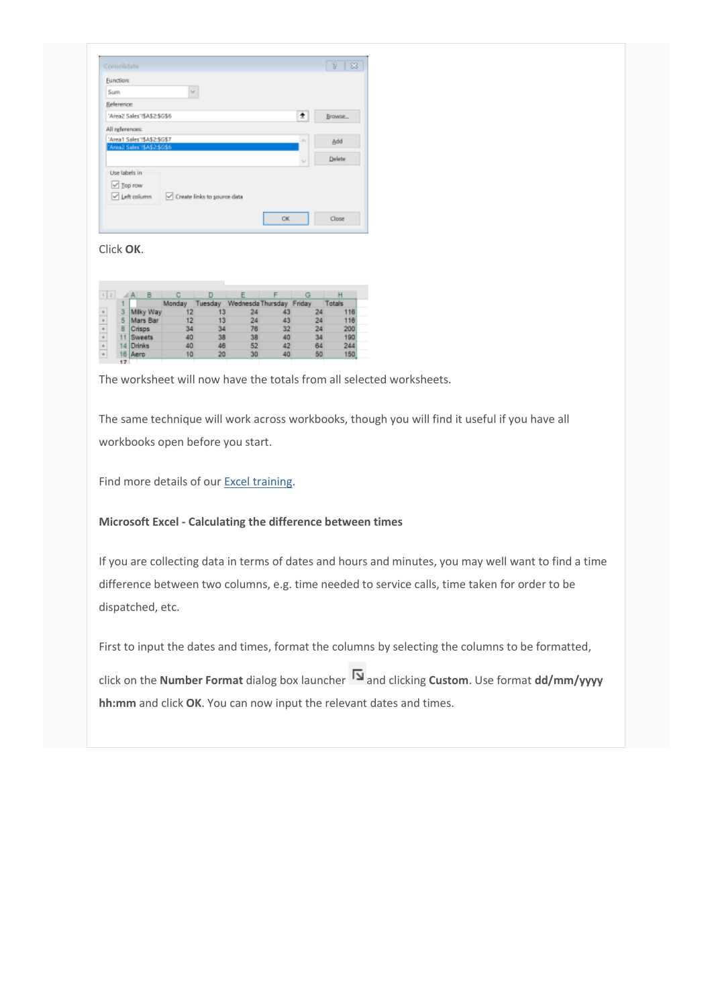| Consolidate                 |                             |               | $\overline{B}$<br>$\Sigma$ |
|-----------------------------|-----------------------------|---------------|----------------------------|
| <b>Function:</b>            |                             |               |                            |
| Sum                         | $\sim$                      |               |                            |
| <b>Reference:</b>           |                             |               |                            |
| 'Area2 Sales'15A\$2:\$G\$6  |                             | 生             | Browse                     |
| All references:             |                             |               |                            |
| 'Area1 Sales'!\$A\$2\$G\$7  |                             | $\mu_{\rm L}$ | Add                        |
|                             |                             |               |                            |
| 'Area2 Sales'!\$A\$2:\$6\$6 |                             |               |                            |
|                             |                             | $\mathcal{G}$ | Delete                     |
| Use labels in               |                             |               |                            |
| $\vee$ Top row              |                             |               |                            |
| Left column                 | Create links to source data |               |                            |
|                             |                             |               |                            |

#### Click **OK**.

| 12                   |     |               |        |         |                   |    |        |        |
|----------------------|-----|---------------|--------|---------|-------------------|----|--------|--------|
|                      |     |               | Monday | Tuesdav | Wednesda Thursday |    | Friday | Totals |
| $\div$               | з   | Milky Way     |        |         |                   |    |        | 116    |
| $\ddot{\phantom{1}}$ | 5   | Mars Bar      |        |         | 24                | 43 | 24     | 116    |
| ÷                    |     | Crisos        |        | 34      | 76                | 32 | 24     | 200    |
| ÷                    |     | <b>Sweets</b> | 40     | 38      | 38                | 40 | 34     | 190    |
| $\ddot{}$            |     | <b>Drinks</b> | 40     | 46      | 52                | 42 | 64     | 244    |
| $\div$               | 16  | Aero          | 10     | 20      | 30                | 40 | 50     | 150    |
|                      | $-$ |               |        |         |                   |    |        |        |

The worksheet will now have the totals from all selected worksheets.

The same technique will work across workbooks, though you will find it useful if you have all workbooks open before you start.

Find more details of our [Excel training.](http://www.archwayct.co.uk/microsoft-office-training/microsoft-excel-training)

#### **Microsoft Excel - Calculating the difference between times**

If you are collecting data in terms of dates and hours and minutes, you may well want to find a time difference between two columns, e.g. time needed to service calls, time taken for order to be dispatched, etc.

First to input the dates and times, format the columns by selecting the columns to be formatted,

click on the **Number Format** dialog box launcher [a](https://ifonlyidknownthat.files.wordpress.com/2020/06/dialog-box-launcher.png)nd clicking **Custom**. Use format **dd/mm/yyyy hh:mm** and click **OK**. You can now input the relevant dates and times.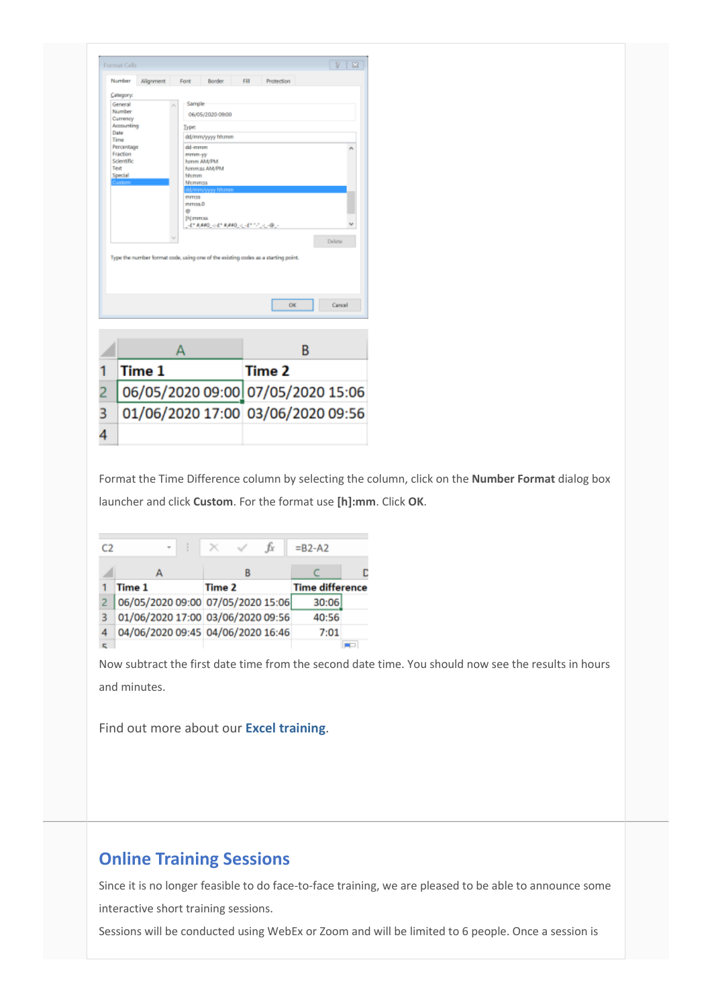| Format Cells                                                                                                          |            |                                                                        |                                                                    |      |                                                                                   |        | 83 |
|-----------------------------------------------------------------------------------------------------------------------|------------|------------------------------------------------------------------------|--------------------------------------------------------------------|------|-----------------------------------------------------------------------------------|--------|----|
| Number                                                                                                                | Alignment  | Font                                                                   | Border                                                             | Fill | Protection                                                                        |        |    |
| Category:<br>General<br>Number<br>Currency<br>Date<br>Time<br>Percentage<br>Fraction<br>Scientific<br>Text<br>Special | Accounting | Sample<br><b>Type:</b><br>dd-mmm<br>mmm-yy<br><b>Nrumm</b><br>hhommess | 06/05/2020 09:00<br>dd/mm/www.hh.mm<br>homm AM/PM<br>hommiss AM/PM |      |                                                                                   |        |    |
|                                                                                                                       |            | <b>mmoss</b><br>mmoss.D<br>Ø)<br>[h] mmaa                              | ld/mm/www.hitamm                                                   |      |                                                                                   |        |    |
|                                                                                                                       |            |                                                                        | 王国神道の武将神道では151人(後)                                                 |      | Type the number format code, using one of the existing codes as a starting point. | Delete |    |
|                                                                                                                       |            |                                                                        |                                                                    |      | ÖK                                                                                | Cancel |    |
|                                                                                                                       |            |                                                                        |                                                                    |      |                                                                                   |        |    |
|                                                                                                                       |            | А                                                                      |                                                                    |      | B                                                                                 |        |    |
|                                                                                                                       | Time 1     |                                                                        |                                                                    |      | Time 2                                                                            |        |    |
|                                                                                                                       |            |                                                                        |                                                                    |      | 06/05/2020 09:00 07/05/2020 15:06                                                 |        |    |
|                                                                                                                       |            |                                                                        |                                                                    |      | 01/06/2020 17:00 03/06/2020 09:56                                                 |        |    |

Format the Time Difference column by selecting the column, click on the **Number Format** dialog box launcher and click **Custom**. For the format use **[h]:mm**. Click **OK**.

| $\mathcal{O}$ | ē<br>٠ | Ťx                                | $= B2 - A2$            |  |
|---------------|--------|-----------------------------------|------------------------|--|
|               |        | B                                 |                        |  |
|               | Time 1 | Time 2                            | <b>Time difference</b> |  |
|               |        | 06/05/2020 09:00 07/05/2020 15:06 | 30:06                  |  |
|               |        | 01/06/2020 17:00 03/06/2020 09:56 | 40:56                  |  |
|               |        | 04/06/2020 09:45 04/06/2020 16:46 | 7:01                   |  |
|               |        |                                   |                        |  |

Now subtract the first date time from the second date time. You should now see the results in hours and minutes.

Find out more about our **[Excel training](http://www.archwayct.co.uk/microsoft-office-training/microsoft-excel-training)**.

## **Online Training Sessions**

Since it is no longer feasible to do face-to-face training, we are pleased to be able to announce some interactive short training sessions.

Sessions will be conducted using WebEx or Zoom and will be limited to 6 people. Once a session is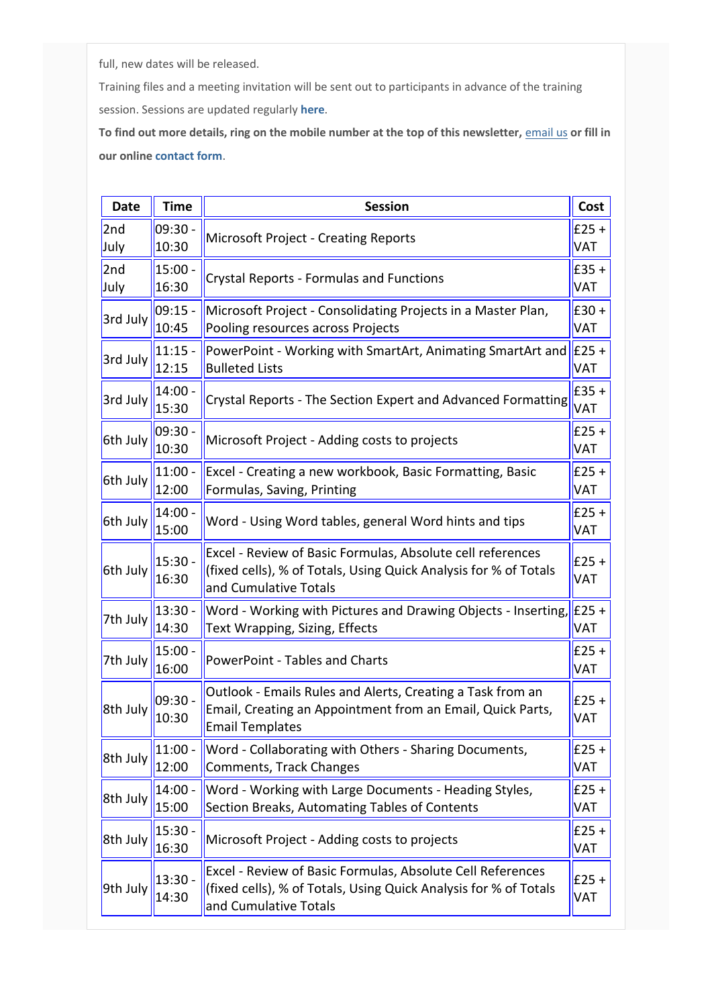full, new dates will be released.

Training files and a meeting invitation will be sent out to participants in advance of the training session. Sessions are updated regularly **[here](http://www.archwayct.co.uk/online-training)**.

**To find out more details, ring on the mobile number at the top of this newsletter,** [email us](mailto:janet@archwayct.co.uk?subject=Online%20Training) **or fill in our online [contact form](http://www.archwayct.co.uk/contact)**.

| <b>Date</b> | <b>Time</b>        | <b>Session</b>                                                                                                                                          | Cost                   |
|-------------|--------------------|---------------------------------------------------------------------------------------------------------------------------------------------------------|------------------------|
| 2nd<br>July | 09:30 -<br>10:30   | <b>Microsoft Project - Creating Reports</b>                                                                                                             | $E25 +$<br><b>VAT</b>  |
| 2nd<br>July | $15:00 -$<br>16:30 | <b>Crystal Reports - Formulas and Functions</b>                                                                                                         | $E$ 35+<br><b>VAT</b>  |
| 3rd July    | $09:15 -$<br>10:45 | Microsoft Project - Consolidating Projects in a Master Plan,<br>Pooling resources across Projects                                                       | $£30 +$<br><b>VAT</b>  |
| 3rd July    | $11:15 -$<br>12:15 | PowerPoint - Working with SmartArt, Animating SmartArt and<br><b>Bulleted Lists</b>                                                                     | $E25 +$<br><b>VAT</b>  |
| 3rd July    | $14:00 -$<br>15:30 | Crystal Reports - The Section Expert and Advanced Formatting                                                                                            | $E$ 35 +<br><b>VAT</b> |
| 6th July    | 09:30<br>10:30     | Microsoft Project - Adding costs to projects                                                                                                            | $£25 +$<br><b>VAT</b>  |
| 6th July    | $11:00 -$<br>12:00 | Excel - Creating a new workbook, Basic Formatting, Basic<br>Formulas, Saving, Printing                                                                  | $E25 +$<br><b>VAT</b>  |
| 6th July    | $14:00 -$<br>15:00 | Word - Using Word tables, general Word hints and tips                                                                                                   | $E25 +$<br><b>VAT</b>  |
| 6th July    | 15:30 -<br>16:30   | Excel - Review of Basic Formulas, Absolute cell references<br>(fixed cells), % of Totals, Using Quick Analysis for % of Totals<br>and Cumulative Totals | $£25 +$<br><b>VAT</b>  |
| 7th July    | $13:30 -$<br>14:30 | Word - Working with Pictures and Drawing Objects - Inserting,<br>Text Wrapping, Sizing, Effects                                                         | $E25 +$<br><b>VAT</b>  |
| 7th July    | 15:00 -<br>16:00   | <b>PowerPoint - Tables and Charts</b>                                                                                                                   | $E25+$<br><b>VAT</b>   |
| 8th July    | $09:30 -$<br>10:30 | Outlook - Emails Rules and Alerts, Creating a Task from an<br>Email, Creating an Appointment from an Email, Quick Parts,<br><b>Email Templates</b>      | $E25 +$<br><b>VAT</b>  |
| 8th July    | $11:00 -$<br>12:00 | Word - Collaborating with Others - Sharing Documents,<br>Comments, Track Changes                                                                        | $E25 +$<br><b>VAT</b>  |
| 8th July    | $14:00 -$<br>15:00 | Word - Working with Large Documents - Heading Styles,<br>Section Breaks, Automating Tables of Contents                                                  | $£25 +$<br><b>VAT</b>  |
| 8th July    | $15:30 -$<br>16:30 | Microsoft Project - Adding costs to projects                                                                                                            | $E25 +$<br><b>VAT</b>  |
| 9th July    | $13:30 -$<br>14:30 | Excel - Review of Basic Formulas, Absolute Cell References<br>(fixed cells), % of Totals, Using Quick Analysis for % of Totals<br>and Cumulative Totals | $E25 +$<br><b>VAT</b>  |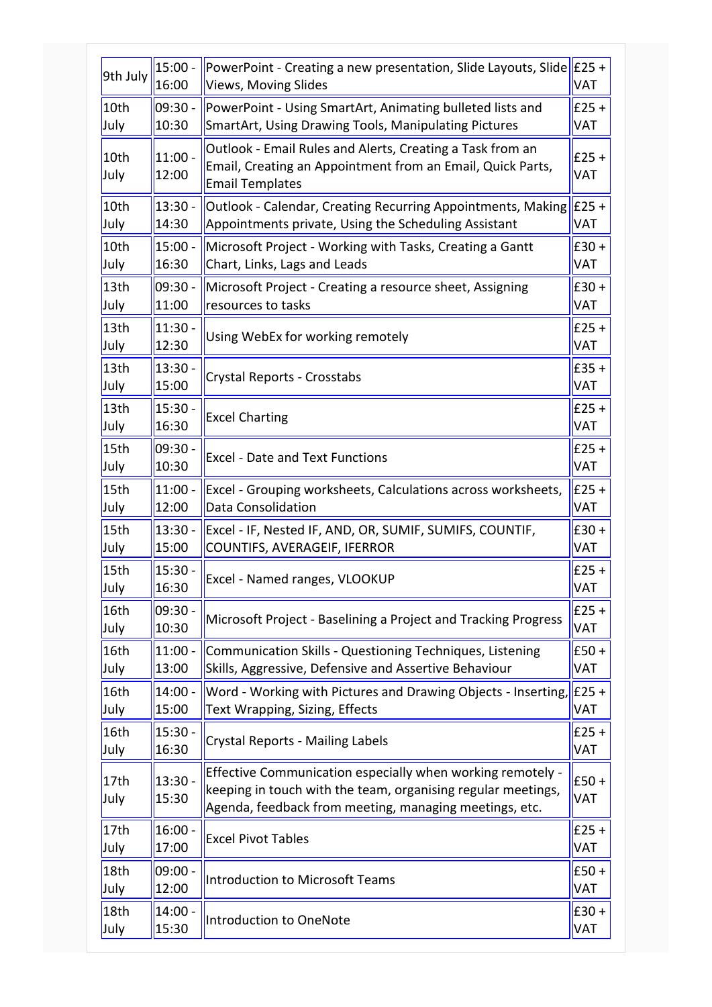|                          | $15:00 -$          | PowerPoint - Creating a new presentation, Slide Layouts, Slide                                                                                                                       | $E25 +$               |
|--------------------------|--------------------|--------------------------------------------------------------------------------------------------------------------------------------------------------------------------------------|-----------------------|
| 9th July                 | 16:00              | <b>Views, Moving Slides</b>                                                                                                                                                          | <b>VAT</b>            |
| 10th                     | 09:30 -            | PowerPoint - Using SmartArt, Animating bulleted lists and                                                                                                                            | $E25 +$               |
| July                     | 10:30              | SmartArt, Using Drawing Tools, Manipulating Pictures                                                                                                                                 | <b>VAT</b>            |
| 10th<br>July             | $11:00 -$<br>12:00 | Outlook - Email Rules and Alerts, Creating a Task from an<br>Email, Creating an Appointment from an Email, Quick Parts,<br><b>Email Templates</b>                                    | $£25 +$<br>VAT        |
| 10th                     | $13:30 -$          | Outlook - Calendar, Creating Recurring Appointments, Making                                                                                                                          | $E25 +$               |
| July                     | 14:30              | Appointments private, Using the Scheduling Assistant                                                                                                                                 | VAT                   |
| 10th                     | $15:00 -$          | Microsoft Project - Working with Tasks, Creating a Gantt                                                                                                                             | $E30 +$               |
| July                     | 16:30              | Chart, Links, Lags and Leads                                                                                                                                                         | <b>VAT</b>            |
| 13 <sub>th</sub>         | 09:30 -            | Microsoft Project - Creating a resource sheet, Assigning                                                                                                                             | $E30 +$               |
| July                     | 11:00              | resources to tasks                                                                                                                                                                   | <b>VAT</b>            |
| 13 <sub>th</sub>         | $11:30 -$          | Using WebEx for working remotely                                                                                                                                                     | $£25 +$               |
| July                     | 12:30              |                                                                                                                                                                                      | <b>VAT</b>            |
| 13 <sub>th</sub>         | 13:30              | Crystal Reports - Crosstabs                                                                                                                                                          | $E$ 35+               |
| July                     | 15:00              |                                                                                                                                                                                      | <b>VAT</b>            |
| 13 <sub>th</sub>         | $15:30 -$          | <b>Excel Charting</b>                                                                                                                                                                | $E25 +$               |
| July                     | 16:30              |                                                                                                                                                                                      | <b>VAT</b>            |
| 15th                     | 09:30 -            | <b>Excel - Date and Text Functions</b>                                                                                                                                               | $£25 +$               |
| July                     | 10:30              |                                                                                                                                                                                      | <b>VAT</b>            |
| 15th                     | $11:00 -$          | Excel - Grouping worksheets, Calculations across worksheets,                                                                                                                         | $E25 +$               |
| July                     | 12:00              | Data Consolidation                                                                                                                                                                   | <b>VAT</b>            |
| 15th                     | $13:30 -$          | Excel - IF, Nested IF, AND, OR, SUMIF, SUMIFS, COUNTIF,                                                                                                                              | $E30 +$               |
| July                     | 15:00              | COUNTIFS, AVERAGEIF, IFERROR                                                                                                                                                         | <b>VAT</b>            |
| 15th                     | $15:30 -$          | Excel - Named ranges, VLOOKUP                                                                                                                                                        | $E25 +$               |
| July                     | 16:30              |                                                                                                                                                                                      | <b>VAT</b>            |
| 16th                     | 09:30 -            | Microsoft Project - Baselining a Project and Tracking Progress                                                                                                                       | $E25 +$               |
| July                     | 10:30              |                                                                                                                                                                                      | <b>VAT</b>            |
| 16th                     | $11:00 -$          | Communication Skills - Questioning Techniques, Listening                                                                                                                             | $E50 +$               |
| July                     | 13:00              | Skills, Aggressive, Defensive and Assertive Behaviour                                                                                                                                | VAT                   |
| 16th                     | $14:00 -$          | Word - Working with Pictures and Drawing Objects - Inserting,                                                                                                                        | $E25 +$               |
| July                     | 15:00              | Text Wrapping, Sizing, Effects                                                                                                                                                       | <b>VAT</b>            |
| 16th                     | 15:30              | <b>Crystal Reports - Mailing Labels</b>                                                                                                                                              | $£25 +$               |
| July                     | 16:30              |                                                                                                                                                                                      | <b>VAT</b>            |
| 17 <sub>th</sub><br>July | $13:30 -$<br>15:30 | Effective Communication especially when working remotely -<br>keeping in touch with the team, organising regular meetings,<br>Agenda, feedback from meeting, managing meetings, etc. | $E50 +$<br><b>VAT</b> |
| 17 <sub>th</sub>         | $16:00 -$          | <b>Excel Pivot Tables</b>                                                                                                                                                            | $E25 +$               |
| July                     | 17:00              |                                                                                                                                                                                      | <b>VAT</b>            |
| 18th                     | $09:00 -$          | <b>Introduction to Microsoft Teams</b>                                                                                                                                               | $E50 +$               |
| July                     | 12:00              |                                                                                                                                                                                      | <b>VAT</b>            |
| 18th                     | 14:00              | <b>Introduction to OneNote</b>                                                                                                                                                       | $E30 +$               |
| July                     | 15:30              |                                                                                                                                                                                      | <b>VAT</b>            |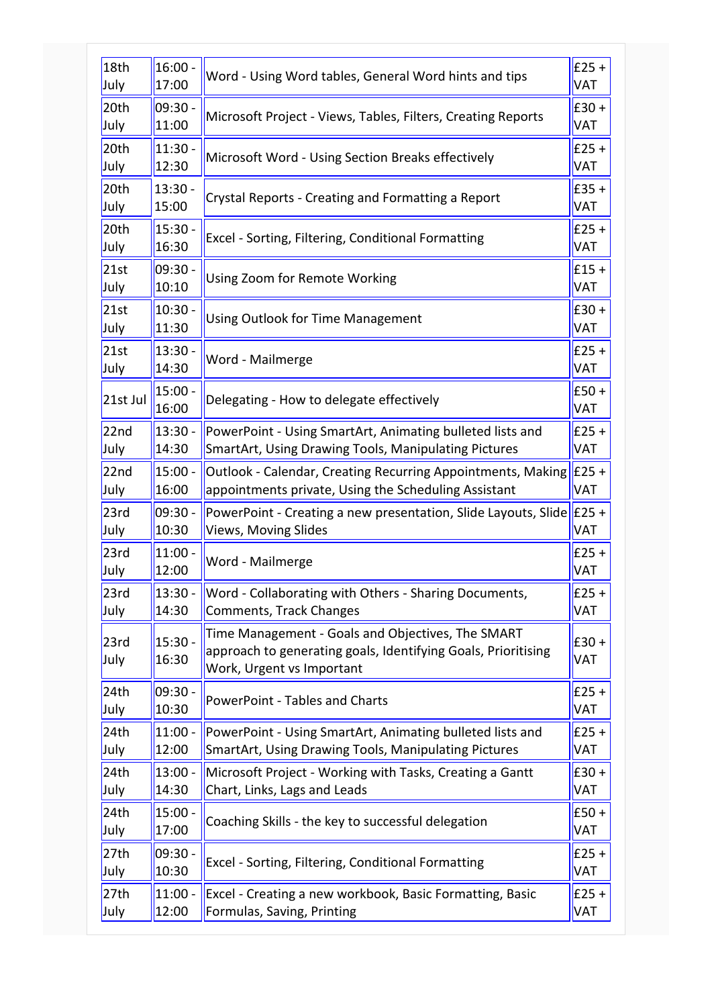| 18th             | $16:00 -$          | Word - Using Word tables, General Word hints and tips                                                                                           | $E25 +$               |
|------------------|--------------------|-------------------------------------------------------------------------------------------------------------------------------------------------|-----------------------|
| July             | 17:00              |                                                                                                                                                 | <b>VAT</b>            |
| 20th             | 09:30 -            | Microsoft Project - Views, Tables, Filters, Creating Reports                                                                                    | $E30 +$               |
| July             | 11:00              |                                                                                                                                                 | <b>VAT</b>            |
| 20th             | $11:30 -$          | Microsoft Word - Using Section Breaks effectively                                                                                               | $E25 +$               |
| July             | 12:30              |                                                                                                                                                 | <b>VAT</b>            |
| 20 <sub>th</sub> | $13:30 -$          | Crystal Reports - Creating and Formatting a Report                                                                                              | $E$ 35+               |
| July             | 15:00              |                                                                                                                                                 | <b>VAT</b>            |
| 20 <sub>th</sub> | $15:30 -$          | Excel - Sorting, Filtering, Conditional Formatting                                                                                              | $E25 +$               |
| July             | 16:30              |                                                                                                                                                 | <b>VAT</b>            |
| 21st             | 09:30 -            | Using Zoom for Remote Working                                                                                                                   | $E15 +$               |
| July             | 10:10              |                                                                                                                                                 | <b>VAT</b>            |
| 21st             | $10:30 -$          | <b>Using Outlook for Time Management</b>                                                                                                        | $E30 +$               |
| July             | 11:30              |                                                                                                                                                 | <b>VAT</b>            |
| 21st             | $13:30 -$          | Word - Mailmerge                                                                                                                                | $E25 +$               |
| July             | 14:30              |                                                                                                                                                 | <b>VAT</b>            |
| 21st Jul         | $15:00 -$<br>16:00 | Delegating - How to delegate effectively                                                                                                        | $E50 +$<br><b>VAT</b> |
| 22 <sub>nd</sub> | $13:30 -$          | PowerPoint - Using SmartArt, Animating bulleted lists and                                                                                       | $E25 +$               |
| July             | 14:30              | SmartArt, Using Drawing Tools, Manipulating Pictures                                                                                            | <b>VAT</b>            |
| 22 <sub>nd</sub> | $15:00 -$          | Outlook - Calendar, Creating Recurring Appointments, Making                                                                                     | $E25 +$               |
| July             | 16:00              | appointments private, Using the Scheduling Assistant                                                                                            | <b>VAT</b>            |
| 23rd             | $09:30 -$          | PowerPoint - Creating a new presentation, Slide Layouts, Slide                                                                                  | $E25 +$               |
| July             | 10:30              | Views, Moving Slides                                                                                                                            | <b>VAT</b>            |
| 23rd             | 11:00              | Word - Mailmerge                                                                                                                                | $E25 +$               |
| July             | 12:00              |                                                                                                                                                 | VAT                   |
| 23rd             | 13:30 -            | Word - Collaborating with Others - Sharing Documents,                                                                                           | £25 +                 |
| July             | 14:30              | Comments, Track Changes                                                                                                                         | <b>VAT</b>            |
| 23rd<br>July     | $15:30 -$<br>16:30 | Time Management - Goals and Objectives, The SMART<br>approach to generating goals, Identifying Goals, Prioritising<br>Work, Urgent vs Important | E30+<br><b>VAT</b>    |
| 24th             | 09:30 -            | PowerPoint - Tables and Charts                                                                                                                  | $E25 +$               |
| July             | 10:30              |                                                                                                                                                 | <b>VAT</b>            |
| 24 <sub>th</sub> | $11:00 -$          | PowerPoint - Using SmartArt, Animating bulleted lists and                                                                                       | $E25 +$               |
| July             | 12:00              | SmartArt, Using Drawing Tools, Manipulating Pictures                                                                                            | <b>VAT</b>            |
| 24th             | $13:00 -$          | Microsoft Project - Working with Tasks, Creating a Gantt                                                                                        | $E30 +$               |
| July             | 14:30              | Chart, Links, Lags and Leads                                                                                                                    | <b>VAT</b>            |
| 24th             | $15:00 -$          | Coaching Skills - the key to successful delegation                                                                                              | $E50 +$               |
| July             | 17:00              |                                                                                                                                                 | <b>VAT</b>            |
| 27th             | 09:30 -            | Excel - Sorting, Filtering, Conditional Formatting                                                                                              | $E25 +$               |
| July             | 10:30              |                                                                                                                                                 | <b>VAT</b>            |
| 27th             | $11:00 -$          | Excel - Creating a new workbook, Basic Formatting, Basic                                                                                        | $E25 +$               |
| July             | 12:00              | Formulas, Saving, Printing                                                                                                                      | <b>VAT</b>            |
|                  |                    |                                                                                                                                                 |                       |